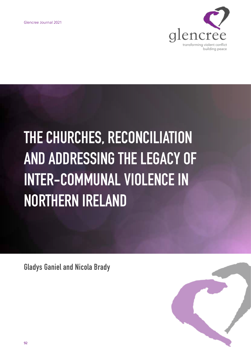

# **THE CHURCHES, RECONCILIATION AND ADDRESSING THE LEGACY OF INTER-COMMUNAL VIOLENCE IN NORTHERN IRELAND**

**Gladys Ganiel and Nicola Brady**

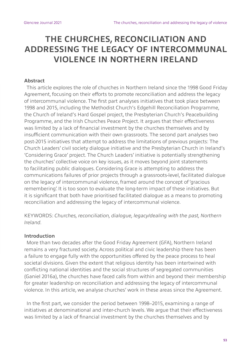# **THE CHURCHES, RECONCILIATION AND ADDRESSING THE LEGACY OF INTERCOMMUNAL VIOLENCE IN NORTHERN IRELAND**

## **Abstract**

This article explores the role of churches in Northern Ireland since the 1998 Good Friday Agreement, focusing on their efforts to promote reconciliation and address the legacy of intercommunal violence. The first part analyses initiatives that took place between 1998 and 2015, including the Methodist Church's Edgehill Reconciliation Programme, the Church of Ireland's Hard Gospel project, the Presbyterian Church's Peacebuilding Programme, and the Irish Churches Peace Project. It argues that their effectiveness was limited by a lack of financial investment by the churches themselves and by insufficient communication with their own grassroots. The second part analyses two post-2015 initiatives that attempt to address the limitations of previous projects: The Church Leaders' civil society dialogue initiative and the Presbyterian Church in Ireland's 'Considering Grace' project. The Church Leaders' initiative is potentially strengthening the churches' collective voice on key issues, as it moves beyond joint statements to facilitating public dialogues. Considering Grace is attempting to address the communications failures of prior projects through a grassroots-level, facilitated dialogue on the legacy of intercommunal violence, framed around the concept of 'gracious remembering'. It is too soon to evaluate the long-term impact of these initiatives. But it is significant that both have prioritised facilitated dialogue as a means to promoting reconciliation and addressing the legacy of intercommunal violence.

KEYWORDS: *Churches, reconciliation, dialogue, legacy/dealing with the past, Northern Ireland.*

## **Introduction**

More than two decades after the Good Friday Agreement (GFA), Northern Ireland remains a very fractured society. Across political and civic leadership there has been a failure to engage fully with the opportunities offered by the peace process to heal societal divisions. Given the extent that religious identity has been intertwined with conflicting national identities and the social structures of segregated communities (Ganiel 2016a), the churches have faced calls from within and beyond their membership for greater leadership on reconciliation and addressing the legacy of intercommunal violence. In this article, we analyse churches' work in these areas since the Agreement.

In the first part, we consider the period between 1998–2015, examining a range of initiatives at denominational and inter-church levels. We argue that their effectiveness was limited by a lack of financial investment by the churches themselves and by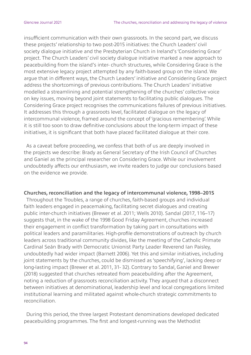insufficient communication with their own grassroots. In the second part, we discuss these projects' relationship to two post-2015 initiatives: the Church Leaders' civil society dialogue initiative and the Presbyterian Church in Ireland's 'Considering Grace' project. The Church Leaders' civil society dialogue initiative marked a new approach to peacebuilding from the island's inter- church structures, while Considering Grace is the most extensive legacy project attempted by any faith-based group on the island. We argue that in different ways, the Church Leaders' initiative and Considering Grace project address the shortcomings of previous contributions. The Church Leaders' initiative modelled a streamlining and potential strengthening of the churches' collective voice on key issues, moving beyond joint statements to facilitating public dialogues. The Considering Grace project recognises the communications failures of previous initiatives. It addresses this through a grassroots level, facilitated dialogue on the legacy of intercommunal violence, framed around the concept of 'gracious remembering'. While it is still too soon to draw definitive conclusions about the long-term impact of these initiatives, it is significant that both have placed facilitated dialogue at their core.

As a caveat before proceeding, we confess that both of us are deeply involved in the projects we describe: Brady as General Secretary of the Irish Council of Churches and Ganiel as the principal researcher on Considering Grace. While our involvement undoubtedly affects our enthusiasm, we invite readers to judge our conclusions based on the evidence we provide.

#### **Churches, reconciliation and the legacy of intercommunal violence, 1998–2015**

Throughout the Troubles, a range of churches, faith-based groups and individual faith leaders engaged in peacemaking, facilitating secret dialogues and creating public inter-church initiatives (Brewer et al. 2011; Wells 2010). Sandal (2017, 116–17) suggests that, in the wake of the 1998 Good Friday Agreement, churches increased their engagement in conflict transformation by taking part in consultations with political leaders and paramilitaries. High-profile demonstrations of outreach by church leaders across traditional community divides, like the meeting of the Catholic Primate Cardinal Seán Brady with Democratic Unionist Party Leader Reverend Ian Paisley, undoubtedly had wider impact (Barnett 2006). Yet this and similar initiatives, including joint statements by the churches, could be dismissed as 'speechifying', lacking deep or long-lasting impact (Brewer et al. 2011, 31- 32). Contrary to Sandal, Ganiel and Brewer (2018) suggested that churches retreated from peacebuilding after the Agreement, noting a reduction of grassroots reconciliation activity. They argued that a disconnect between initiatives at denominational, leadership level and local congregations limited institutional learning and militated against whole-church strategic commitments to reconciliation.

During this period, the three largest Protestant denominations developed dedicated peacebuilding programmes. The first and longest-running was the Methodist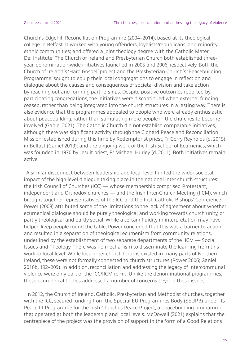Church's Edgehill Reconciliation Programme (2004–2014), based at its theological college in Belfast. It worked with young offenders, loyalists/republicans, and minority ethnic communities; and offered a joint theology degree with the Catholic Mater Dei Institute. The Church of Ireland and Presbyterian Church both established threeyear, denomination-wide initiatives launched in 2005 and 2006, respectively. Both the Church of Ireland's 'Hard Gospel' project and the Presbyterian Church's 'Peacebuilding Programme' sought to equip their local congregations to engage in reflection and dialogue about the causes and consequences of societal division and take action by reaching out and forming partnerships. Despite positive outcomes reported by participating congregations, the initiatives were discontinued when external funding ceased, rather than being integrated into the church structures in a lasting way. There is also evidence that the programmes appealed to people who were already enthusiastic about peacebuilding, rather than stimulating more people in the churches to become involved (Ganiel 2021). The Catholic Church did not establish comparable initiatives, although there was significant activity through the Clonard Peace and Reconciliation Mission, established during this time by Redemptorist priest, Fr Gerry Reynolds (d. 2015) in Belfast (Ganiel 2019); and the ongoing work of the Irish School of Ecumenics, which was founded in 1970 by Jesuit priest, Fr Michael Hurley (d. 2011). Both initiatives remain active.

A similar disconnect between leadership and local level limited the wider societal impact of the high-level dialogue taking place in the national inter-church structures: the Irish Council of Churches (ICC) — whose membership comprised Protestant, independent and Orthodox churches — and the Irish Inter-Church Meeting (IICM), which brought together representatives of the ICC and the Irish Catholic Bishops' Conference. Power (2008) attributed some of the limitations to the lack of agreement about whether ecumenical dialogue should be purely theological and working towards church unity, or partly theological and partly social. While a certain fluidity in interpretation may have helped keep people round the table, Power concluded that this was a barrier to action and resulted in a separation of theological ecumenism from community relations, underlined by the establishment of two separate departments of the IICM — Social Issues and Theology. There was no mechanism to disseminate the learning from this work to local level. While local inter-church forums existed in many parts of Northern Ireland, these were not formally connected to church structures (Power 2006; Ganiel 2016b, 192–209). In addition, reconciliation and addressing the legacy of intercommunal violence were only part of the ICC/IICM remit. Unlike the denominational programmes, these ecumenical bodies addressed a number of concerns beyond these issues.

In 2012, the Church of Ireland, Catholic, Presbyterian and Methodist churches, together with the ICC, secured funding from the Special EU Programmes Body (SEUPB) under its Peace III Programme for the Irish Churches Peace Project, a peacebuilding programme that operated at both the leadership and local levels. McDowell (2021) explains that the centrepiece of the project was the provision of support in the form of a Good Relations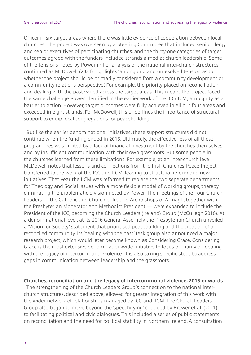Officer in six target areas where there was little evidence of cooperation between local churches. The project was overseen by a Steering Committee that included senior clergy and senior executives of participating churches, and the thirty-one categories of target outcomes agreed with the funders included strands aimed at church leadership. Some of the tensions noted by Power in her analysis of the national inter-church structures continued as McDowell (2021) highlights 'an ongoing and unresolved tension as to whether the project should be primarily considered from a community development or a community relations perspective'. For example, the priority placed on reconciliation and dealing with the past varied across the target areas. This meant the project faced the same challenge Power identified in the earlier work of the ICC/IICM; ambiguity as a barrier to action. However, target outcomes were fully achieved in all but four areas and exceeded in eight strands. For McDowell, this underlines the importance of structural support to equip local congregations for peacebuilding.

But like the earlier denominational initiatives, these support structures did not continue when the funding ended in 2015. Ultimately, the effectiveness of all these programmes was limited by a lack of financial investment by the churches themselves and by insufficient communication with their own grassroots. But some people in the churches learned from these limitations. For example, at an inter-church level, McDowell notes that lessons and connections from the Irish Churches Peace Project transferred to the work of the ICC and IICM, leading to structural reform and new initiatives. That year the IICM was reformed to replace the two separate departments for Theology and Social Issues with a more flexible model of working groups, thereby eliminating the problematic division noted by Power. The meetings of the Four Church Leaders — the Catholic and Church of Ireland Archbishops of Armagh, together with the Presbyterian Moderator and Methodist President — were expanded to include the President of the ICC, becoming the Church Leaders (Ireland) Group (McCullagh 2016). At a denominational level, at its 2016 General Assembly the Presbyterian Church unveiled a 'Vision for Society' statement that prioritised peacebuilding and the creation of a reconciled community. Its 'dealing with the past' task group also announced a major research project, which would later become known as Considering Grace. Considering Grace is the most extensive denomination-wide initiative to focus primarily on dealing with the legacy of intercommunal violence. It is also taking specific steps to address gaps in communication between leadership and the grassroots.

#### **Churches, reconciliation and the legacy of intercommunal violence, 2015-onwards**

The strengthening of the Church Leaders Group's connection to the national interchurch structures, described above, allowed for greater integration of this work with the wider network of relationships managed by ICC and IICM. The Church Leaders Group also began to move beyond the 'speechifying' critiqued by Brewer et al. (2011) to facilitating political and civic dialogues. This included a series of public statements on reconciliation and the need for political stability in Northern Ireland. A consultation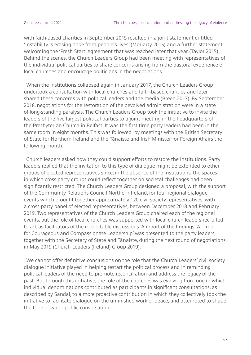with faith-based charities in September 2015 resulted in a joint statement entitled 'Instability is erasing hope from people's lives' (Moriarty 2015) and a further statement welcoming the 'Fresh Start' agreement that was reached later that year (Taylor 2015). Behind the scenes, the Church Leaders Group had been meeting with representatives of the individual political parties to share concerns arising from the pastoral experience of local churches and encourage politicians in the negotiations.

When the institutions collapsed again in January 2017, the Church Leaders Group undertook a consultation with local churches and faith-based charities and later shared these concerns with political leaders and the media (Breen 2017). By September 2018, negotiations for the restoration of the devolved administration were in a state of long-standing paralysis. The Church Leaders Group took the initiative to invite the leaders of the five largest political parties to a joint meeting in the headquarters of the Presbyterian Church in Belfast. It was the first time party leaders had been in the same room in eight months. This was followed by meetings with the British Secretary of State for Northern Ireland and the Tánaiste and Irish Minister for Foreign Affairs the following month.

Church leaders asked how they could support efforts to restore the institutions. Party leaders replied that the invitation to this type of dialogue might be extended to other groups of elected representatives since, in the absence of the institutions, the spaces in which cross-party groups could reflect together on societal challenges had been significantly restricted. The Church Leaders Group designed a proposal, with the support of the Community Relations Council Northern Ireland, for four regional dialogue events which brought together approximately 120 civil society representatives, with a cross-party panel of elected representatives, between December 2018 and February 2019. Two representatives of the Church Leaders Group chaired each of the regional events, but the role of local churches was supported with local church leaders recruited to act as facilitators of the round table discussions. A report of the findings, 'A Time for Courageous and Compassionate Leadership' was presented to the party leaders, together with the Secretary of State and Tánaiste, during the next round of negotiations in May 2019 (Church Leaders (Ireland) Group 2019).

We cannot offer definitive conclusions on the role that the Church Leaders' civil society dialogue initiative played in helping restart the political process and in reminding political leaders of the need to promote reconciliation and address the legacy of the past. But through this initiative, the role of the churches was evolving from one in which individual denominations contributed as participants in significant consultations, as described by Sandal, to a more proactive contribution in which they collectively took the initiative to facilitate dialogue on the unfinished work of peace, and attempted to shape the tone of wider public conversation.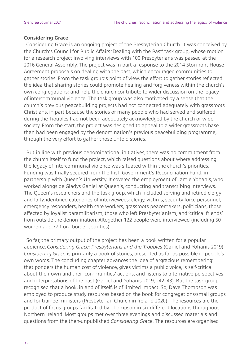#### **Considering Grace**

Considering Grace is an ongoing project of the Presbyterian Church. It was conceived by the Church's Council for Public Affairs 'Dealing with the Past' task group, whose motion for a research project involving interviews with 100 Presbyterians was passed at the 2016 General Assembly. The project was in part a response to the 2014 Stormont House Agreement proposals on dealing with the past, which encouraged communities to gather stories. From the task group's point of view, the effort to gather stories reflected the idea that sharing stories could promote healing and forgiveness within the church's own congregations; and help the church contribute to wider discussion on the legacy of intercommunal violence. The task group was also motivated by a sense that the church's previous peacebuilding projects had not connected adequately with grassroots Christians, in part because the stories of many people who had served and suffered during the Troubles had not been adequately acknowledged by the church or wider society. From the start, the project was designed to appeal to a wider grassroots base than had been engaged by the denomination's previous peacebuilding programme, through the very effort to gather those untold stories.

But in line with previous denominational initiatives, there was no commitment from the church itself to fund the project, which raised questions about where addressing the legacy of intercommunal violence was situated within the church's priorities. Funding was finally secured from the Irish Government's Reconciliation Fund, in partnership with Queen's University. It covered the employment of Jamie Yohanis, who worked alongside Gladys Ganiel at Queen's, conducting and transcribing interviews. The Queen's researchers and the task group, which included serving and retired clergy and laity, identified categories of interviewees: clergy, victims, security force personnel, emergency responders, health care workers, grassroots peacemakers, politicians, those affected by loyalist paramilitarism, those who left Presbyterianism, and 'critical friends' from outside the denomination. Altogether 122 people were interviewed (including 50 women and 77 from border counties).

So far, the primary output of the project has been a book written for a popular audience, *Considering Grace: Presbyterians and the Troubles* (Ganiel and Yohanis 2019). *Considering Grace* is primarily a book of stories, presented as far as possible in people's own words. The concluding chapter advances the idea of a 'gracious remembering' that ponders the human cost of violence, gives victims a public voice, is self-critical about their own and their communities' actions, and listens to alternative perspectives and interpretations of the past (Ganiel and Yohanis 2019, 242–43). But the task group recognised that a book, in and of itself, is of limited impact. So, Dave Thompson was employed to produce study resources based on the book for congregations/small groups and for trainee ministers (Presbyterian Church in Ireland 2020). The resources are the product of focus groups facilitated by Thompson in six different locations throughout Northern Ireland. Most groups met over three evenings and discussed materials and questions from the then-unpublished *Considering Grace*. The resources are organised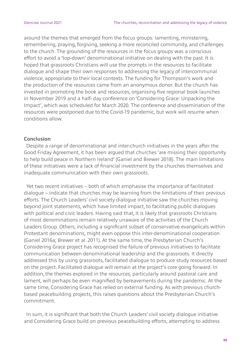around the themes that emerged from the focus groups: lamenting, ministering, remembering, praying, forgiving, seeking a more reconciled community, and challenges to the church. The grounding of the resources in the focus groups was a conscious effort to avoid a 'top-down' denominational initiative on dealing with the past. It is hoped that grassroots Christians will use the prompts in the resources to facilitate dialogue and shape their own responses to addressing the legacy of intercommunal violence, appropriate to their local contexts. The funding for Thompson's work and the production of the resources came from an anonymous donor. But the church has invested in promoting the book and resources, organising five regional book launches in November 2019 and a half- day conference on 'Considering Grace: Unpacking the Impact', which was scheduled for March 2020. The conference and dissemination of the resources were postponed due to the Covid-19 pandemic, but work will resume when conditions allow.

#### **Conclusion**

Despite a range of denominational and inter-church initiatives in the years after the Good Friday Agreement, it has been argued that churches 'are missing their opportunity to help build peace in Northern Ireland' (Ganiel and Brewer 2018). The main limitations of these initiatives were a lack of financial investment by the churches themselves and inadequate communication with their own grassroots.

Yet two recent initiatives – both of which emphasise the importance of facilitated dialogue – indicate that churches may be learning from the limitations of their previous efforts. The Church Leaders' civil society dialogue initiative saw the churches moving beyond joint statements, which have limited impact, to facilitating public dialogues with political and civic leaders. Having said that, it is likely that grassroots Christians of most denominations remain relatively unaware of the activities of the Church Leaders Group. Others, including a significant subset of conservative evangelicals within Protestant denominations, might even oppose this inter-denominational cooperation (Ganiel 2016a; Brewer et al. 2011). At the same time, the Presbyterian Church's Considering Grace project has recognised the failure of previous initiatives to facilitate communication between denominational leadership and the grassroots. It directly addressed this by using grassroots, facilitated dialogue to produce study resources based on the project. Facilitated dialogue will remain at the project's core going forward. In addition, the themes explored in the resources, particularly around pastoral care and lament, will perhaps be even magnified by bereavements during the pandemic. At the same time, Considering Grace has relied on external funding. As with previous churchbased peacebuilding projects, this raises questions about the Presbyterian Church's commitment.

In sum, it is significant that both the Church Leaders' civil society dialogue initiative and Considering Grace build on previous peacebuilding efforts, attempting to address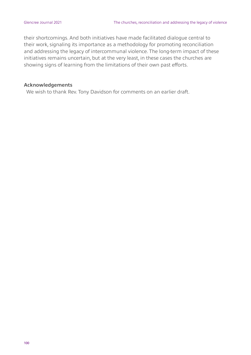their shortcomings. And both initiatives have made facilitated dialogue central to their work, signaling its importance as a methodology for promoting reconciliation and addressing the legacy of intercommunal violence. The long-term impact of these initiatives remains uncertain, but at the very least, in these cases the churches are showing signs of learning from the limitations of their own past efforts.

#### **Acknowledgements**

We wish to thank Rev. Tony Davidson for comments on an earlier draft.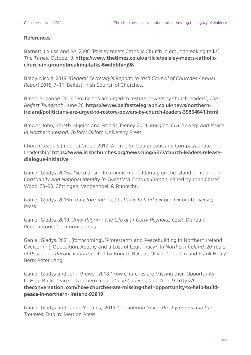#### **References**

Barnett, Louisa and PA. 2006. 'Paisley meets Catholic Church in groundbreaking talks'. *The Times,* October 9. **https://www.thetimes.co.uk/article/paisley-meets-catholicchurch-in-groundbreaking-talks-6wdbbtvnj98**

Brady, Nicola. 2019. *'General Secretary's Report'. In Irish Council of Churches Annual Report 2018*, 7–11. Belfast: Irish Council of Churches.

Breen, Suzanne. 2017. 'Politicians are urged to restore powers by church leaders', *The Belfast Telegraph*, June 26. **https://www.belfasttelegraph.co.uk/news/northernireland/politicians-are-urged-to-restore-powers-by-church-leaders-35864641.html**

Brewer, John, Gareth Higgins and Francis Teeney. 2011. *Religion, Civil Society, and Peace in Northern Ireland.* Oxford: Oxford University Press.

Church Leaders (Ireland) Group. 2019. 'A Time for Courageous and Compassionate Leadership.' **https://www.irishchurches.org/news-blog/5377/church-leaders-releasedialogue-initiative**

Ganiel, Gladys. 2016a. 'Secularism, Ecumenism and Identity on the Island of Ireland'. In *Christianity and National Identity in Twentieth Century Europe*, edited by John Carter Wood, 73–90. Göttingen: Vandenhoek & Ruprecht.

Ganiel, Gladys. 2016b. *Transforming Post-Catholic Ireland*. Oxford: Oxford University Press.

Ganiel, Gladys. 2019. *Unity Pilgrim: The Life of Fr Gerry Reynolds CSsR*. Dundalk: Redemptorist Communications.

Ganiel, Gladys. 2021. (forthcoming). 'Protestants and Peacebuilding in Northern Ireland: Overcoming Opposition, Apathy and a Loss of Legitimacy?' In *Northern Ireland: 20 Years of Peace and Reconciliation?* edited by Brigitte Bastiat, Olivier Coquelin and Frank Healy. Bern: Peter Lang.

Ganiel, Gladys and John Brewer. 2018. 'How Churches are Missing their Opportunity to Help Build Peace in Northern Ireland.' *The Conversation.* April 9. **https:// theconversation. com/how-churches-are-missing-their-opportunity-to-help-buildpeace-in-northern- ireland-93819**

Ganiel, Gladys and Jamie Yohanis,. 2019. *Considering Grace: Presbyterians and the Troubles.* Dublin: Merrion Press.